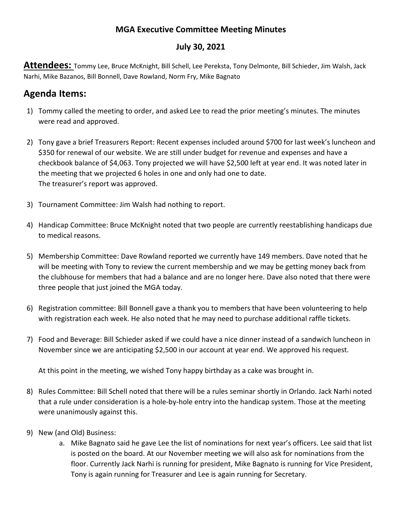## **MGA Executive Committee Meeting Minutes**

## **July 30, 2021**

**Attendees:** Tommy Lee, Bruce McKnight, Bill Schell, Lee Pereksta, Tony Delmonte, Bill Schieder, Jim Walsh, Jack Narhi, Mike Bazanos, Bill Bonnell, Dave Rowland, Norm Fry, Mike Bagnato

## **Agenda Items:**

- 1) Tommy called the meeting to order, and asked Lee to read the prior meeting's minutes. The minutes were read and approved.
- 2) Tony gave a brief Treasurers Report: Recent expenses included around \$700 for last week's luncheon and \$350 for renewal of our website. We are still under budget for revenue and expenses and have a checkbook balance of \$4,063. Tony projected we will have \$2,500 left at year end. It was noted later in the meeting that we projected 6 holes in one and only had one to date. The treasurer's report was approved.
- 3) Tournament Committee: Jim Walsh had nothing to report.
- 4) Handicap Committee: Bruce McKnight noted that two people are currently reestablishing handicaps due to medical reasons.
- 5) Membership Committee: Dave Rowland reported we currently have 149 members. Dave noted that he will be meeting with Tony to review the current membership and we may be getting money back from the clubhouse for members that had a balance and are no longer here. Dave also noted that there were three people that just joined the MGA today.
- 6) Registration committee: Bill Bonnell gave a thank you to members that have been volunteering to help with registration each week. He also noted that he may need to purchase additional raffle tickets.
- 7) Food and Beverage: Bill Schieder asked if we could have a nice dinner instead of a sandwich luncheon in November since we are anticipating \$2,500 in our account at year end. We approved his request.

At this point in the meeting, we wished Tony happy birthday as a cake was brought in.

- 8) Rules Committee: Bill Schell noted that there will be a rules seminar shortly in Orlando. Jack Narhi noted that a rule under consideration is a hole-by-hole entry into the handicap system. Those at the meeting were unanimously against this.
- 9) New (and Old) Business:
	- a. Mike Bagnato said he gave Lee the list of nominations for next year's officers. Lee said that list is posted on the board. At our November meeting we will also ask for nominations from the floor. Currently Jack Narhi is running for president, Mike Bagnato is running for Vice President, Tony is again running for Treasurer and Lee is again running for Secretary.